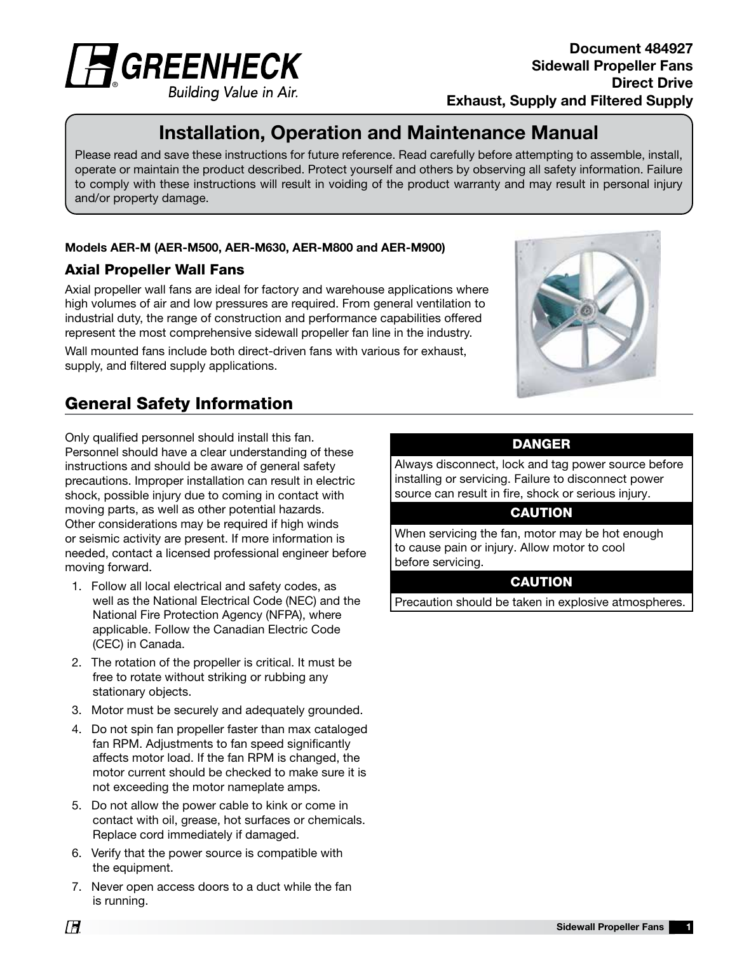

Building Value in Air.

### Document 484927 Sidewall Propeller Fans Direct Drive Exhaust, Supply and Filtered Supply

# Installation, Operation and Maintenance Manual

Please read and save these instructions for future reference. Read carefully before attempting to assemble, install, operate or maintain the product described. Protect yourself and others by observing all safety information. Failure to comply with these instructions will result in voiding of the product warranty and may result in personal injury and/or property damage.

#### Models AER-M (AER-M500, AER-M630, AER-M800 and AER-M900)

### Axial Propeller Wall Fans

Axial propeller wall fans are ideal for factory and warehouse applications where high volumes of air and low pressures are required. From general ventilation to industrial duty, the range of construction and performance capabilities offered represent the most comprehensive sidewall propeller fan line in the industry.

Wall mounted fans include both direct-driven fans with various for exhaust, supply, and filtered supply applications.

# General Safety Information

Only qualified personnel should install this fan. Personnel should have a clear understanding of these instructions and should be aware of general safety precautions. Improper installation can result in electric shock, possible injury due to coming in contact with moving parts, as well as other potential hazards. Other considerations may be required if high winds or seismic activity are present. If more information is needed, contact a licensed professional engineer before moving forward.

- 1. Follow all local electrical and safety codes, as well as the National Electrical Code (NEC) and the National Fire Protection Agency (NFPA), where applicable. Follow the Canadian Electric Code (CEC) in Canada.
- 2. The rotation of the propeller is critical. It must be free to rotate without striking or rubbing any stationary objects.
- 3. Motor must be securely and adequately grounded.
- 4. Do not spin fan propeller faster than max cataloged fan RPM. Adjustments to fan speed significantly affects motor load. If the fan RPM is changed, the motor current should be checked to make sure it is not exceeding the motor nameplate amps.
- 5. Do not allow the power cable to kink or come in contact with oil, grease, hot surfaces or chemicals. Replace cord immediately if damaged.
- 6. Verify that the power source is compatible with the equipment.
- 7. Never open access doors to a duct while the fan is running.



### DANGER

Always disconnect, lock and tag power source before installing or servicing. Failure to disconnect power source can result in fire, shock or serious injury.

#### **CAUTION**

When servicing the fan, motor may be hot enough to cause pain or injury. Allow motor to cool before servicing.

### **CAUTION**

Precaution should be taken in explosive atmospheres.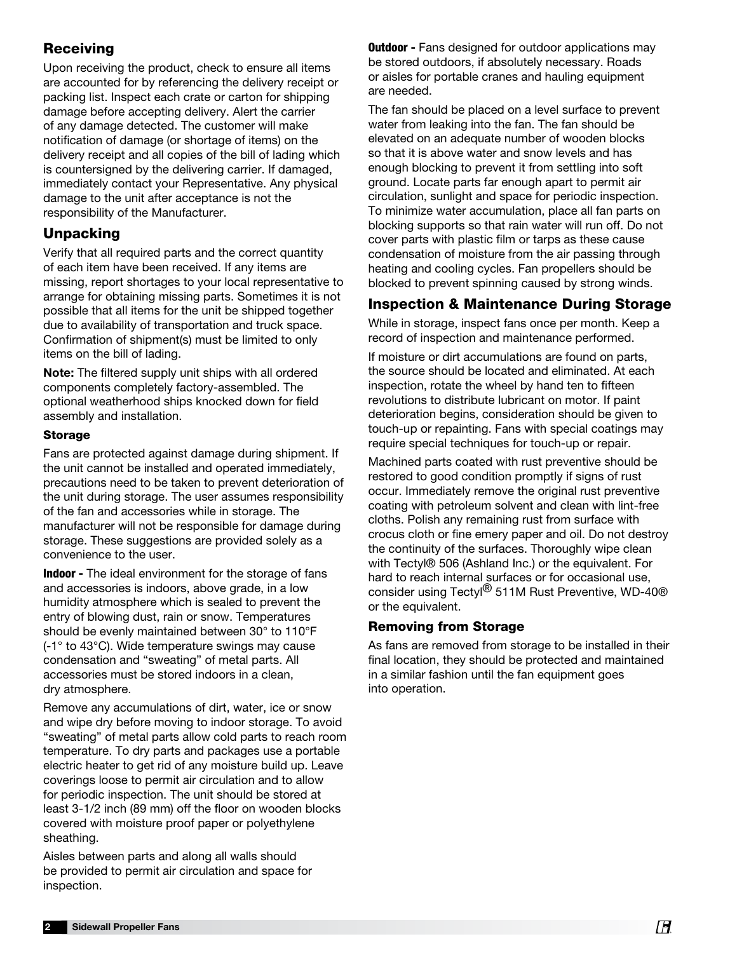## Receiving

Upon receiving the product, check to ensure all items are accounted for by referencing the delivery receipt or packing list. Inspect each crate or carton for shipping damage before accepting delivery. Alert the carrier of any damage detected. The customer will make notification of damage (or shortage of items) on the delivery receipt and all copies of the bill of lading which is countersigned by the delivering carrier. If damaged, immediately contact your Representative. Any physical damage to the unit after acceptance is not the responsibility of the Manufacturer.

### **Unpacking**

Verify that all required parts and the correct quantity of each item have been received. If any items are missing, report shortages to your local representative to arrange for obtaining missing parts. Sometimes it is not possible that all items for the unit be shipped together due to availability of transportation and truck space. Confirmation of shipment(s) must be limited to only items on the bill of lading.

Note: The filtered supply unit ships with all ordered components completely factory-assembled. The optional weatherhood ships knocked down for field assembly and installation.

#### Storage

Fans are protected against damage during shipment. If the unit cannot be installed and operated immediately, precautions need to be taken to prevent deterioration of the unit during storage. The user assumes responsibility of the fan and accessories while in storage. The manufacturer will not be responsible for damage during storage. These suggestions are provided solely as a convenience to the user.

Indoor - The ideal environment for the storage of fans and accessories is indoors, above grade, in a low humidity atmosphere which is sealed to prevent the entry of blowing dust, rain or snow. Temperatures should be evenly maintained between 30° to 110°F (-1° to 43°C). Wide temperature swings may cause condensation and "sweating" of metal parts. All accessories must be stored indoors in a clean, dry atmosphere.

Remove any accumulations of dirt, water, ice or snow and wipe dry before moving to indoor storage. To avoid "sweating" of metal parts allow cold parts to reach room temperature. To dry parts and packages use a portable electric heater to get rid of any moisture build up. Leave coverings loose to permit air circulation and to allow for periodic inspection. The unit should be stored at least 3-1/2 inch (89 mm) off the floor on wooden blocks covered with moisture proof paper or polyethylene sheathing.

Aisles between parts and along all walls should be provided to permit air circulation and space for inspection.

**Outdoor -** Fans designed for outdoor applications may be stored outdoors, if absolutely necessary. Roads or aisles for portable cranes and hauling equipment are needed.

The fan should be placed on a level surface to prevent water from leaking into the fan. The fan should be elevated on an adequate number of wooden blocks so that it is above water and snow levels and has enough blocking to prevent it from settling into soft ground. Locate parts far enough apart to permit air circulation, sunlight and space for periodic inspection. To minimize water accumulation, place all fan parts on blocking supports so that rain water will run off. Do not cover parts with plastic film or tarps as these cause condensation of moisture from the air passing through heating and cooling cycles. Fan propellers should be blocked to prevent spinning caused by strong winds.

## Inspection & Maintenance During Storage

While in storage, inspect fans once per month. Keep a record of inspection and maintenance performed.

If moisture or dirt accumulations are found on parts, the source should be located and eliminated. At each inspection, rotate the wheel by hand ten to fifteen revolutions to distribute lubricant on motor. If paint deterioration begins, consideration should be given to touch-up or repainting. Fans with special coatings may require special techniques for touch-up or repair.

Machined parts coated with rust preventive should be restored to good condition promptly if signs of rust occur. Immediately remove the original rust preventive coating with petroleum solvent and clean with lint-free cloths. Polish any remaining rust from surface with crocus cloth or fine emery paper and oil. Do not destroy the continuity of the surfaces. Thoroughly wipe clean with Tectyl® 506 (Ashland Inc.) or the equivalent. For hard to reach internal surfaces or for occasional use, consider using Tectyl<sup>®</sup> 511M Rust Preventive, WD-40<sup>®</sup> or the equivalent.

### Removing from Storage

As fans are removed from storage to be installed in their final location, they should be protected and maintained in a similar fashion until the fan equipment goes into operation.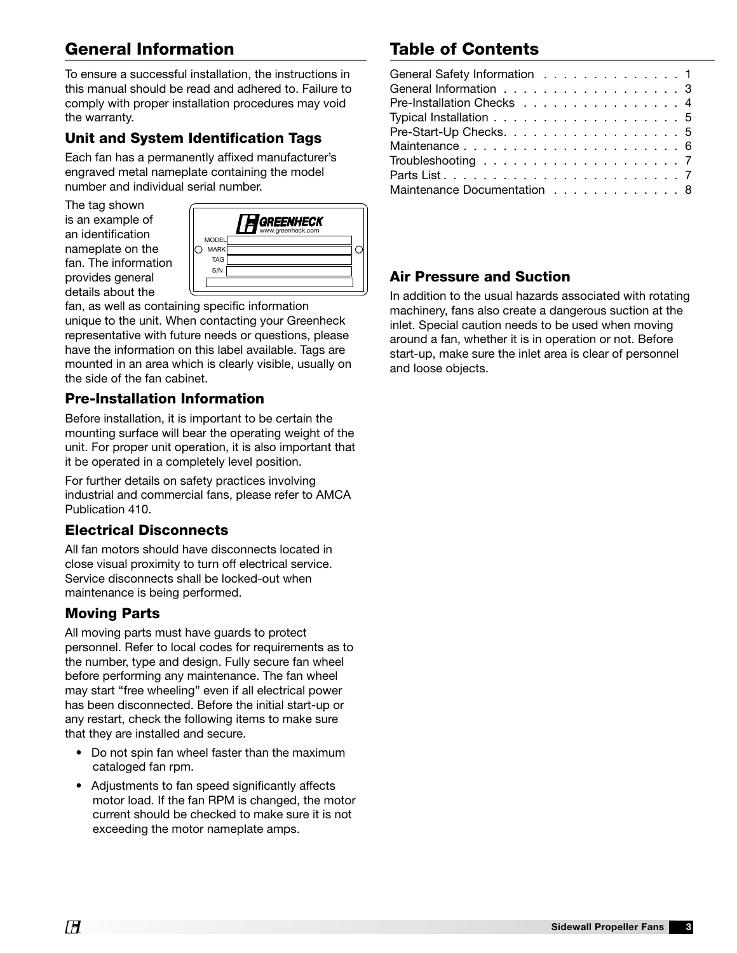# General Information

To ensure a successful installation, the instructions in this manual should be read and adhered to. Failure to comply with proper installation procedures may void the warranty.

## Unit and System Identification Tags

Each fan has a permanently affixed manufacturer's engraved metal nameplate containing the model number and individual serial number.

The tag shown is an example of an identification nameplate on the fan. The information provides general details about the



fan, as well as containing specific information unique to the unit. When contacting your Greenheck representative with future needs or questions, please have the information on this label available. Tags are mounted in an area which is clearly visible, usually on the side of the fan cabinet.

## Pre-Installation Information

Before installation, it is important to be certain the mounting surface will bear the operating weight of the unit. For proper unit operation, it is also important that it be operated in a completely level position.

For further details on safety practices involving industrial and commercial fans, please refer to AMCA Publication 410.

## Electrical Disconnects

All fan motors should have disconnects located in close visual proximity to turn off electrical service. Service disconnects shall be locked-out when maintenance is being performed.

### Moving Parts

All moving parts must have guards to protect personnel. Refer to local codes for requirements as to the number, type and design. Fully secure fan wheel before performing any maintenance. The fan wheel may start "free wheeling" even if all electrical power has been disconnected. Before the initial start-up or any restart, check the following items to make sure that they are installed and secure.

- Do not spin fan wheel faster than the maximum cataloged fan rpm.
- Adjustments to fan speed significantly affects motor load. If the fan RPM is changed, the motor current should be checked to make sure it is not exceeding the motor nameplate amps.

# Table of Contents

| General Safety Information 1 |  |
|------------------------------|--|
| General Information 3        |  |
| Pre-Installation Checks 4    |  |
|                              |  |
| Pre-Start-Up Checks. 5       |  |
|                              |  |
|                              |  |
|                              |  |
| Maintenance Documentation 8  |  |

## Air Pressure and Suction

In addition to the usual hazards associated with rotating machinery, fans also create a dangerous suction at the inlet. Special caution needs to be used when moving around a fan, whether it is in operation or not. Before start-up, make sure the inlet area is clear of personnel and loose objects.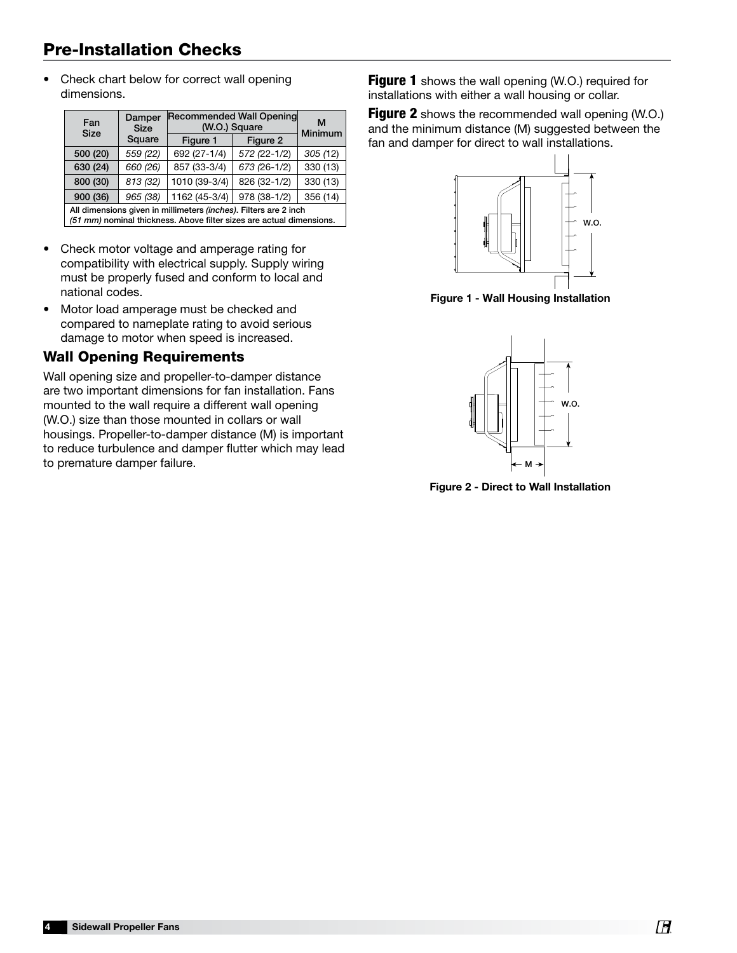# Pre-Installation Checks

• Check chart below for correct wall opening dimensions.

| Fan<br><b>Size</b>                                                                                                                       | Damper<br><b>Size</b> | Recommended Wall Opening<br>(W.O.) Square | м<br>Minimum |          |  |  |
|------------------------------------------------------------------------------------------------------------------------------------------|-----------------------|-------------------------------------------|--------------|----------|--|--|
|                                                                                                                                          | Square                | Figure 1                                  | Figure 2     |          |  |  |
| 500 (20)                                                                                                                                 | 559 (22)              | 692 (27-1/4)                              | 572 (22-1/2) | 305(12)  |  |  |
| 630 (24)                                                                                                                                 | 660 (26)              | 857 (33-3/4)                              | 673 (26-1/2) | 330 (13) |  |  |
| 800 (30)                                                                                                                                 | 813 (32)              | 1010 (39-3/4)                             | 826 (32-1/2) | 330 (13) |  |  |
| 900 (36)                                                                                                                                 | 965 (38)              | 1162 (45-3/4)                             | 978 (38-1/2) | 356 (14) |  |  |
| All dimensions given in millimeters (inches). Filters are 2 inch<br>(51 mm) nominal thickness. Above filter sizes are actual dimensions. |                       |                                           |              |          |  |  |

- Check motor voltage and amperage rating for compatibility with electrical supply. Supply wiring must be properly fused and conform to local and national codes.
- Motor load amperage must be checked and compared to nameplate rating to avoid serious damage to motor when speed is increased.

### Wall Opening Requirements

Wall opening size and propeller-to-damper distance are two important dimensions for fan installation. Fans mounted to the wall require a different wall opening  $\|\cdot\|$   $\|\cdot\|$   $\|\cdot\|$   $\|\cdot\|$  w.o. (W.O.) size than those mounted in collars or wall housings. Propeller-to-damper distance (M) is important to reduce turbulence and damper flutter which may lead to premature damper failure.

**Figure 1** shows the wall opening (W.O.) required for installations with either a wall housing or collar.

**Figure 2** shows the recommended wall opening (W.O.) and the minimum distance (M) suggested between the fan and damper for direct to wall installations.



Figure 1 - Wall Housing Installation



Figure 2 - Direct to Wall Installation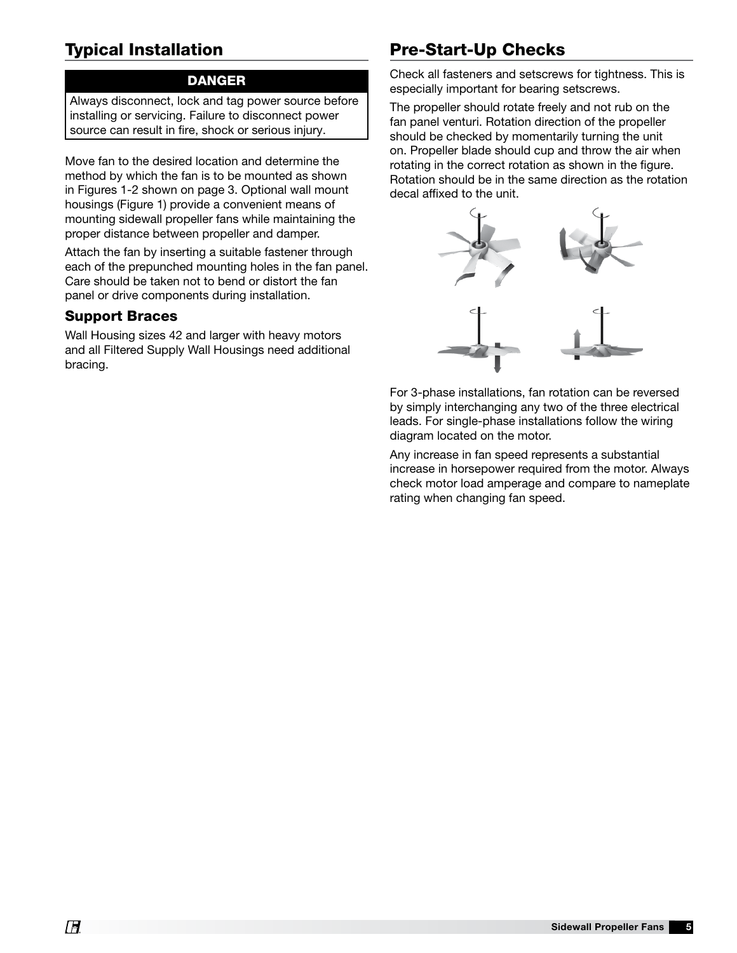# Typical Installation

#### DANGER

Always disconnect, lock and tag power source before installing or servicing. Failure to disconnect power source can result in fire, shock or serious injury.

Move fan to the desired location and determine the method by which the fan is to be mounted as shown in Figures 1-2 shown on page 3. Optional wall mount housings (Figure 1) provide a convenient means of mounting sidewall propeller fans while maintaining the proper distance between propeller and damper.

Attach the fan by inserting a suitable fastener through each of the prepunched mounting holes in the fan panel. Care should be taken not to bend or distort the fan panel or drive components during installation.

### Support Braces

Wall Housing sizes 42 and larger with heavy motors and all Filtered Supply Wall Housings need additional bracing.

# Pre-Start-Up Checks

Check all fasteners and setscrews for tightness. This is especially important for bearing setscrews.

The propeller should rotate freely and not rub on the fan panel venturi. Rotation direction of the propeller should be checked by momentarily turning the unit on. Propeller blade should cup and throw the air when rotating in the correct rotation as shown in the figure. Rotation should be in the same direction as the rotation decal affixed to the unit.



For 3-phase installations, fan rotation can be reversed by simply interchanging any two of the three electrical leads. For single-phase installations follow the wiring diagram located on the motor.

Any increase in fan speed represents a substantial increase in horsepower required from the motor. Always check motor load amperage and compare to nameplate rating when changing fan speed.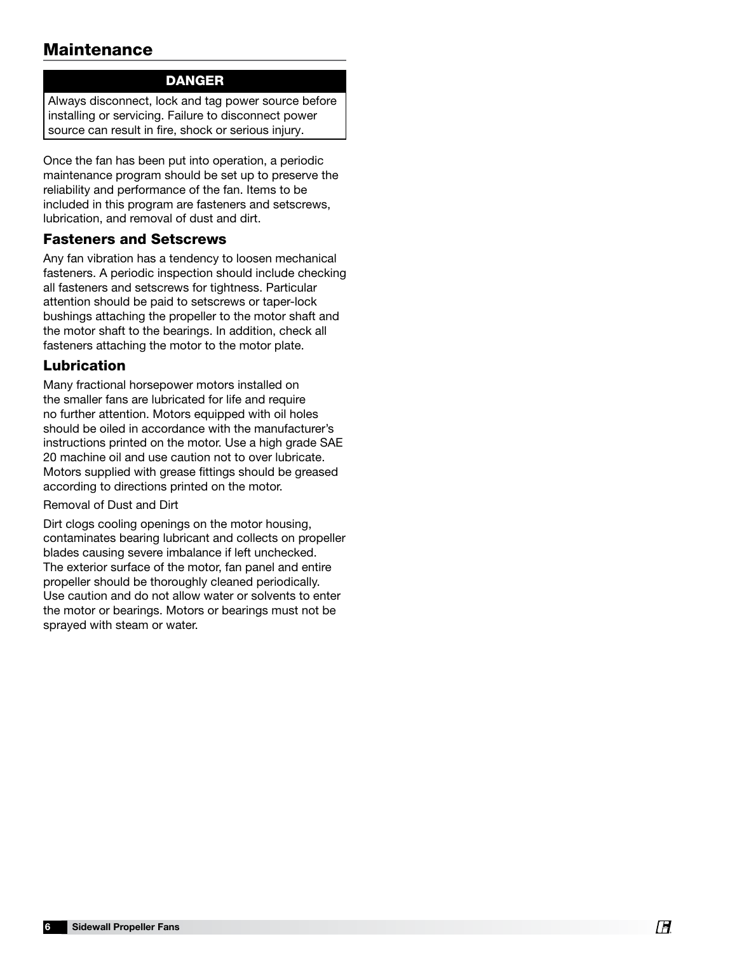## **Maintenance**

### DANGER

Always disconnect, lock and tag power source before installing or servicing. Failure to disconnect power source can result in fire, shock or serious injury.

Once the fan has been put into operation, a periodic maintenance program should be set up to preserve the reliability and performance of the fan. Items to be included in this program are fasteners and setscrews, lubrication, and removal of dust and dirt.

#### Fasteners and Setscrews

Any fan vibration has a tendency to loosen mechanical fasteners. A periodic inspection should include checking all fasteners and setscrews for tightness. Particular attention should be paid to setscrews or taper-lock bushings attaching the propeller to the motor shaft and the motor shaft to the bearings. In addition, check all fasteners attaching the motor to the motor plate.

### Lubrication

Many fractional horsepower motors installed on the smaller fans are lubricated for life and require no further attention. Motors equipped with oil holes should be oiled in accordance with the manufacturer's instructions printed on the motor. Use a high grade SAE 20 machine oil and use caution not to over lubricate. Motors supplied with grease fittings should be greased according to directions printed on the motor.

#### Removal of Dust and Dirt

Dirt clogs cooling openings on the motor housing, contaminates bearing lubricant and collects on propeller blades causing severe imbalance if left unchecked. The exterior surface of the motor, fan panel and entire propeller should be thoroughly cleaned periodically. Use caution and do not allow water or solvents to enter the motor or bearings. Motors or bearings must not be sprayed with steam or water.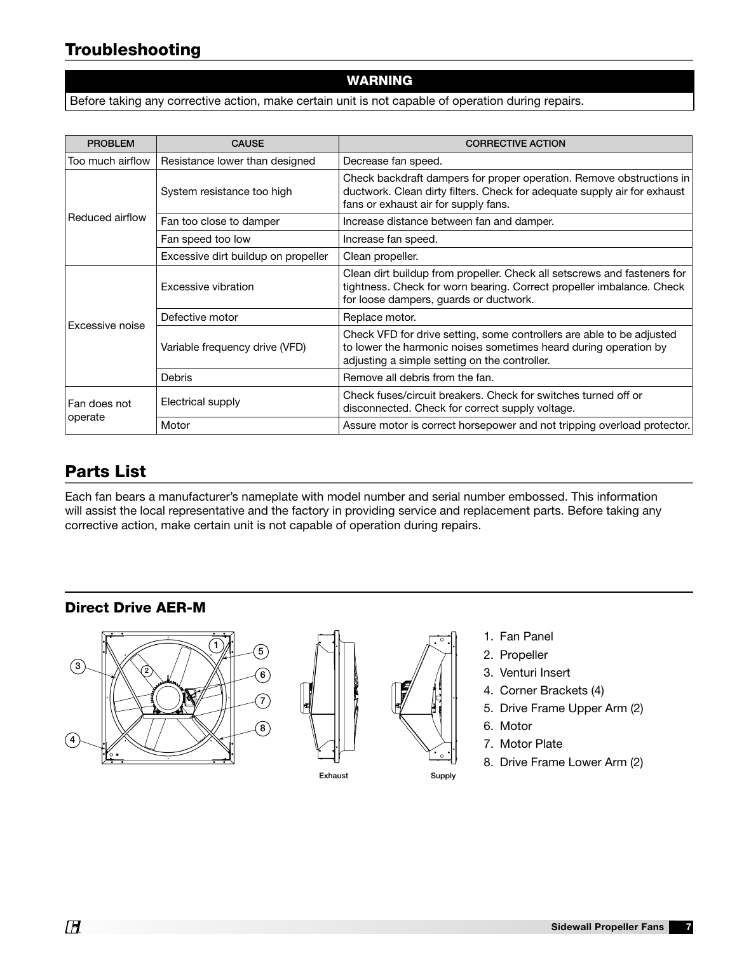# Troubleshooting

#### WARNING

Before taking any corrective action, make certain unit is not capable of operation during repairs.

| <b>PROBLEM</b>          | <b>CAUSE</b>                        | <b>CORRECTIVE ACTION</b>                                                                                                                                                                    |  |  |  |
|-------------------------|-------------------------------------|---------------------------------------------------------------------------------------------------------------------------------------------------------------------------------------------|--|--|--|
| Too much airflow        | Resistance lower than designed      | Decrease fan speed.                                                                                                                                                                         |  |  |  |
| Reduced airflow         | System resistance too high          | Check backdraft dampers for proper operation. Remove obstructions in<br>ductwork. Clean dirty filters. Check for adequate supply air for exhaust<br>fans or exhaust air for supply fans.    |  |  |  |
|                         | Fan too close to damper             | Increase distance between fan and damper.                                                                                                                                                   |  |  |  |
|                         | Fan speed too low                   | Increase fan speed.                                                                                                                                                                         |  |  |  |
|                         | Excessive dirt buildup on propeller | Clean propeller.                                                                                                                                                                            |  |  |  |
| Excessive noise         | Excessive vibration                 | Clean dirt buildup from propeller. Check all setscrews and fasteners for<br>tightness. Check for worn bearing. Correct propeller imbalance. Check<br>for loose dampers, guards or ductwork. |  |  |  |
|                         | Defective motor                     | Replace motor.                                                                                                                                                                              |  |  |  |
|                         | Variable frequency drive (VFD)      | Check VFD for drive setting, some controllers are able to be adjusted<br>to lower the harmonic noises sometimes heard during operation by<br>adjusting a simple setting on the controller.  |  |  |  |
|                         | <b>Debris</b>                       | Remove all debris from the fan.                                                                                                                                                             |  |  |  |
| Fan does not<br>operate | Electrical supply                   | Check fuses/circuit breakers. Check for switches turned off or<br>disconnected. Check for correct supply voltage.                                                                           |  |  |  |
|                         | Motor                               | Assure motor is correct horsepower and not tripping overload protector.                                                                                                                     |  |  |  |

## Parts List

Each fan bears a manufacturer's nameplate with model number and serial number embossed. This information will assist the local representative and the factory in providing service and replacement parts. Before taking any corrective action, make certain unit is not capable of operation during repairs.

### Direct Drive AER-M







- 2. Propeller
- 3. Venturi Insert
- 4. Corner Brackets (4)
- 5. Drive Frame Upper Arm (2)
- 6. Motor

Supply

- 7. Motor Plate
- 8. Drive Frame Lower Arm (2)